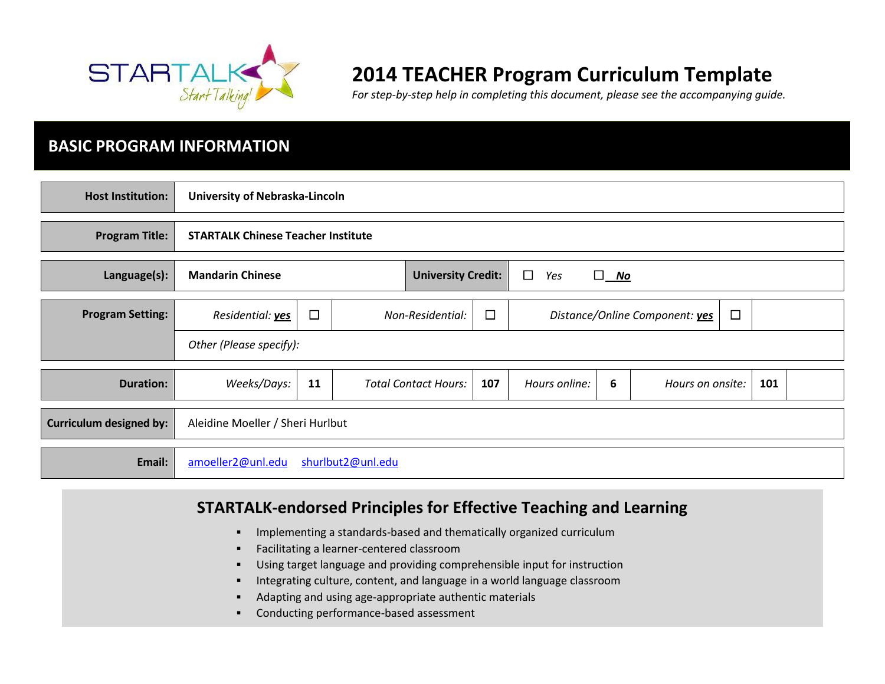

# **2014 TEACHER Program Curriculum Template**

*For step-by-step help in completing this document, please see the accompanying guide.* 

### **BASIC PROGRAM INFORMATION**

| <b>Host Institution:</b>       | University of Nebraska-Lincoln   |                                           |                   |                             |        |               |           |                                |        |     |  |
|--------------------------------|----------------------------------|-------------------------------------------|-------------------|-----------------------------|--------|---------------|-----------|--------------------------------|--------|-----|--|
| <b>Program Title:</b>          |                                  | <b>STARTALK Chinese Teacher Institute</b> |                   |                             |        |               |           |                                |        |     |  |
| Language(s):                   | <b>Mandarin Chinese</b>          |                                           |                   | <b>University Credit:</b>   |        | $\Box$<br>Yes | $\Box$ No |                                |        |     |  |
| <b>Program Setting:</b>        | Residential: yes                 | $\Box$                                    |                   | Non-Residential:            | $\Box$ |               |           | Distance/Online Component: yes | $\Box$ |     |  |
|                                | Other (Please specify):          |                                           |                   |                             |        |               |           |                                |        |     |  |
| <b>Duration:</b>               | Weeks/Days:                      | 11                                        |                   | <b>Total Contact Hours:</b> | 107    | Hours online: | 6         | Hours on onsite:               |        | 101 |  |
| <b>Curriculum designed by:</b> | Aleidine Moeller / Sheri Hurlbut |                                           |                   |                             |        |               |           |                                |        |     |  |
| Email:                         | amoeller2@unl.edu                |                                           | shurlbut2@unl.edu |                             |        |               |           |                                |        |     |  |

### **STARTALK-endorsed Principles for Effective Teaching and Learning**

- **IMPLEMENTED EXAMPLE 25 Implementing a standards-based and thematically organized curriculum**
- Facilitating a learner-centered classroom
- Using target language and providing comprehensible input for instruction
- **Integrating culture, content, and language in a world language classroom**
- Adapting and using age-appropriate authentic materials
- Conducting performance-based assessment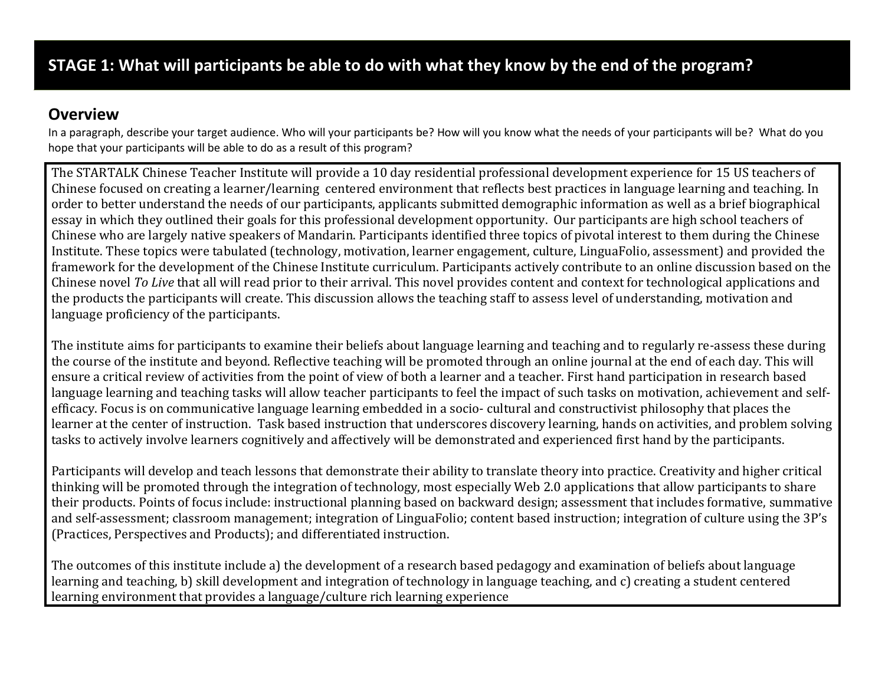# **Overview**

In a paragraph, describe your target audience. Who will your participants be? How will you know what the needs of your participants will be? What do you hope that your participants will be able to do as a result of this program?

The STARTALK Chinese Teacher Institute will provide a 10 day residential professional development experience for 15 US teachers of Chinese focused on creating a learner/learning centered environment that reflects best practices in language learning and teaching. In order to better understand the needs of our participants, applicants submitted demographic information as well as a brief biographical essay in which they outlined their goals for this professional development opportunity. Our participants are high school teachers of Chinese who are largely native speakers of Mandarin. Participants identified three topics of pivotal interest to them during the Chinese Institute. These topics were tabulated (technology, motivation, learner engagement, culture, LinguaFolio, assessment) and provided the framework for the development of the Chinese Institute curriculum. Participants actively contribute to an online discussion based on the Chinese novel *To Live* that all will read prior to their arrival. This novel provides content and context for technological applications and the products the participants will create. This discussion allows the teaching staff to assess level of understanding, motivation and language proficiency of the participants.

The institute aims for participants to examine their beliefs about language learning and teaching and to regularly re-assess these during the course of the institute and beyond. Reflective teaching will be promoted through an online journal at the end of each day. This will ensure a critical review of activities from the point of view of both a learner and a teacher. First hand participation in research based language learning and teaching tasks will allow teacher participants to feel the impact of such tasks on motivation, achievement and selfefficacy. Focus is on communicative language learning embedded in a socio- cultural and constructivist philosophy that places the learner at the center of instruction. Task based instruction that underscores discovery learning, hands on activities, and problem solving tasks to actively involve learners cognitively and affectively will be demonstrated and experienced first hand by the participants.

Participants will develop and teach lessons that demonstrate their ability to translate theory into practice. Creativity and higher critical thinking will be promoted through the integration of technology, most especially Web 2.0 applications that allow participants to share their products. Points of focus include: instructional planning based on backward design; assessment that includes formative, summative and self-assessment; classroom management; integration of LinguaFolio; content based instruction; integration of culture using the 3P's (Practices, Perspectives and Products); and differentiated instruction.

The outcomes of this institute include a) the development of a research based pedagogy and examination of beliefs about language learning and teaching, b) skill development and integration of technology in language teaching, and c) creating a student centered learning environment that provides a language/culture rich learning experience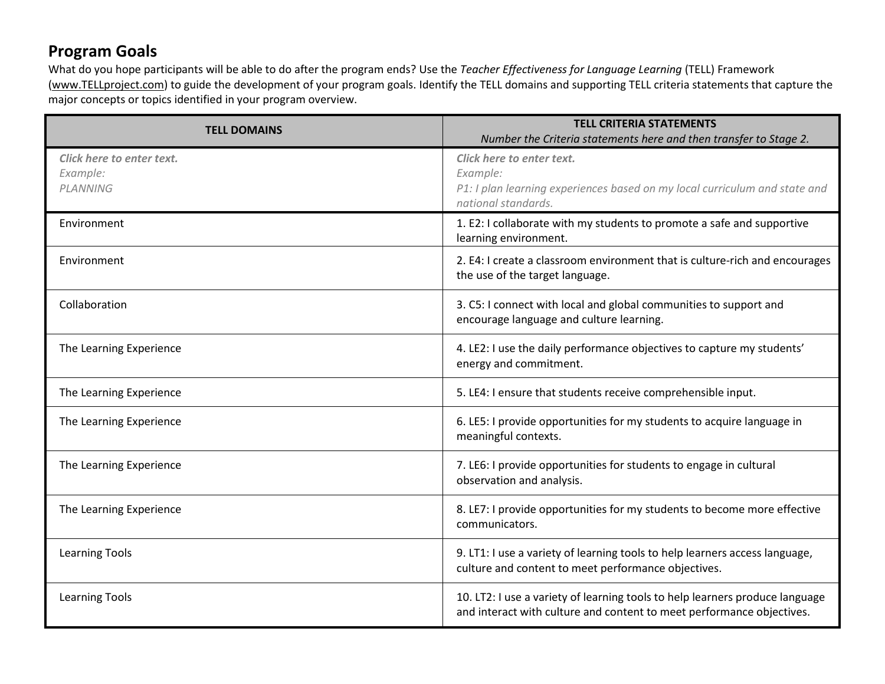# **Program Goals**

What do you hope participants will be able to do after the program ends? Use the *Teacher Effectiveness for Language Learning* (TELL) Framework [\(www.TELLproject.com\)](http://www.tellproject.com/) to guide the development of your program goals. Identify the TELL domains and supporting TELL criteria statements that capture the major concepts or topics identified in your program overview.

| <b>TELL DOMAINS</b>                               | <b>TELL CRITERIA STATEMENTS</b><br>Number the Criteria statements here and then transfer to Stage 2.                                                  |
|---------------------------------------------------|-------------------------------------------------------------------------------------------------------------------------------------------------------|
| Click here to enter text.<br>Example:<br>PLANNING | Click here to enter text.<br>Example:<br>P1: I plan learning experiences based on my local curriculum and state and<br>national standards.            |
| Environment                                       | 1. E2: I collaborate with my students to promote a safe and supportive<br>learning environment.                                                       |
| Environment                                       | 2. E4: I create a classroom environment that is culture-rich and encourages<br>the use of the target language.                                        |
| Collaboration                                     | 3. C5: I connect with local and global communities to support and<br>encourage language and culture learning.                                         |
| The Learning Experience                           | 4. LE2: I use the daily performance objectives to capture my students'<br>energy and commitment.                                                      |
| The Learning Experience                           | 5. LE4: I ensure that students receive comprehensible input.                                                                                          |
| The Learning Experience                           | 6. LE5: I provide opportunities for my students to acquire language in<br>meaningful contexts.                                                        |
| The Learning Experience                           | 7. LE6: I provide opportunities for students to engage in cultural<br>observation and analysis.                                                       |
| The Learning Experience                           | 8. LE7: I provide opportunities for my students to become more effective<br>communicators.                                                            |
| <b>Learning Tools</b>                             | 9. LT1: I use a variety of learning tools to help learners access language,<br>culture and content to meet performance objectives.                    |
| <b>Learning Tools</b>                             | 10. LT2: I use a variety of learning tools to help learners produce language<br>and interact with culture and content to meet performance objectives. |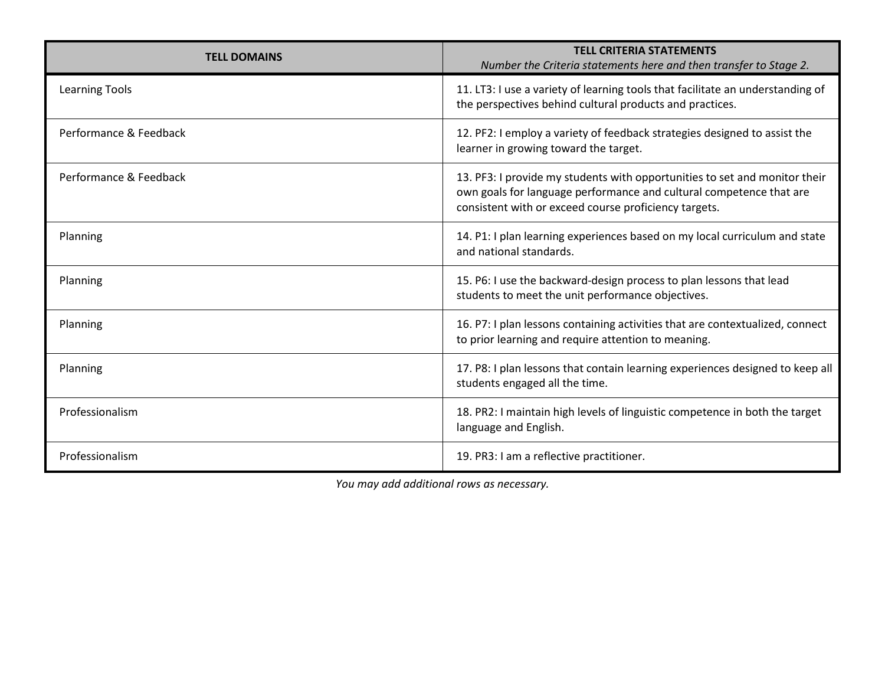| <b>TELL DOMAINS</b>    | <b>TELL CRITERIA STATEMENTS</b><br>Number the Criteria statements here and then transfer to Stage 2.                                                                                                       |
|------------------------|------------------------------------------------------------------------------------------------------------------------------------------------------------------------------------------------------------|
| Learning Tools         | 11. LT3: I use a variety of learning tools that facilitate an understanding of<br>the perspectives behind cultural products and practices.                                                                 |
| Performance & Feedback | 12. PF2: I employ a variety of feedback strategies designed to assist the<br>learner in growing toward the target.                                                                                         |
| Performance & Feedback | 13. PF3: I provide my students with opportunities to set and monitor their<br>own goals for language performance and cultural competence that are<br>consistent with or exceed course proficiency targets. |
| Planning               | 14. P1: I plan learning experiences based on my local curriculum and state<br>and national standards.                                                                                                      |
| Planning               | 15. P6: I use the backward-design process to plan lessons that lead<br>students to meet the unit performance objectives.                                                                                   |
| Planning               | 16. P7: I plan lessons containing activities that are contextualized, connect<br>to prior learning and require attention to meaning.                                                                       |
| Planning               | 17. P8: I plan lessons that contain learning experiences designed to keep all<br>students engaged all the time.                                                                                            |
| Professionalism        | 18. PR2: I maintain high levels of linguistic competence in both the target<br>language and English.                                                                                                       |
| Professionalism        | 19. PR3: I am a reflective practitioner.                                                                                                                                                                   |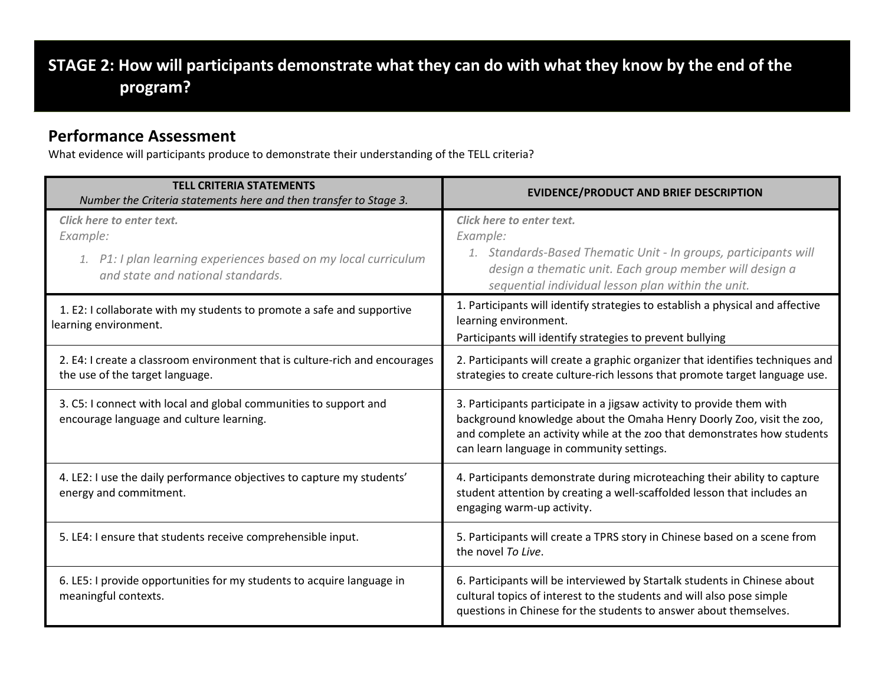# **STAGE 2: How will participants demonstrate what they can do with what they know by the end of the program?**

### **Performance Assessment**

What evidence will participants produce to demonstrate their understanding of the TELL criteria?

| <b>TELL CRITERIA STATEMENTS</b><br>Number the Criteria statements here and then transfer to Stage 3.                                          | <b>EVIDENCE/PRODUCT AND BRIEF DESCRIPTION</b>                                                                                                                                                                                                                           |
|-----------------------------------------------------------------------------------------------------------------------------------------------|-------------------------------------------------------------------------------------------------------------------------------------------------------------------------------------------------------------------------------------------------------------------------|
| Click here to enter text.<br>Example:<br>1. P1: I plan learning experiences based on my local curriculum<br>and state and national standards. | Click here to enter text.<br>Example:<br>1. Standards-Based Thematic Unit - In groups, participants will<br>design a thematic unit. Each group member will design a<br>sequential individual lesson plan within the unit.                                               |
| 1. E2: I collaborate with my students to promote a safe and supportive<br>learning environment.                                               | 1. Participants will identify strategies to establish a physical and affective<br>learning environment.<br>Participants will identify strategies to prevent bullying                                                                                                    |
| 2. E4: I create a classroom environment that is culture-rich and encourages<br>the use of the target language.                                | 2. Participants will create a graphic organizer that identifies techniques and<br>strategies to create culture-rich lessons that promote target language use.                                                                                                           |
| 3. C5: I connect with local and global communities to support and<br>encourage language and culture learning.                                 | 3. Participants participate in a jigsaw activity to provide them with<br>background knowledge about the Omaha Henry Doorly Zoo, visit the zoo,<br>and complete an activity while at the zoo that demonstrates how students<br>can learn language in community settings. |
| 4. LE2: I use the daily performance objectives to capture my students'<br>energy and commitment.                                              | 4. Participants demonstrate during microteaching their ability to capture<br>student attention by creating a well-scaffolded lesson that includes an<br>engaging warm-up activity.                                                                                      |
| 5. LE4: I ensure that students receive comprehensible input.                                                                                  | 5. Participants will create a TPRS story in Chinese based on a scene from<br>the novel To Live.                                                                                                                                                                         |
| 6. LE5: I provide opportunities for my students to acquire language in<br>meaningful contexts.                                                | 6. Participants will be interviewed by Startalk students in Chinese about<br>cultural topics of interest to the students and will also pose simple<br>questions in Chinese for the students to answer about themselves.                                                 |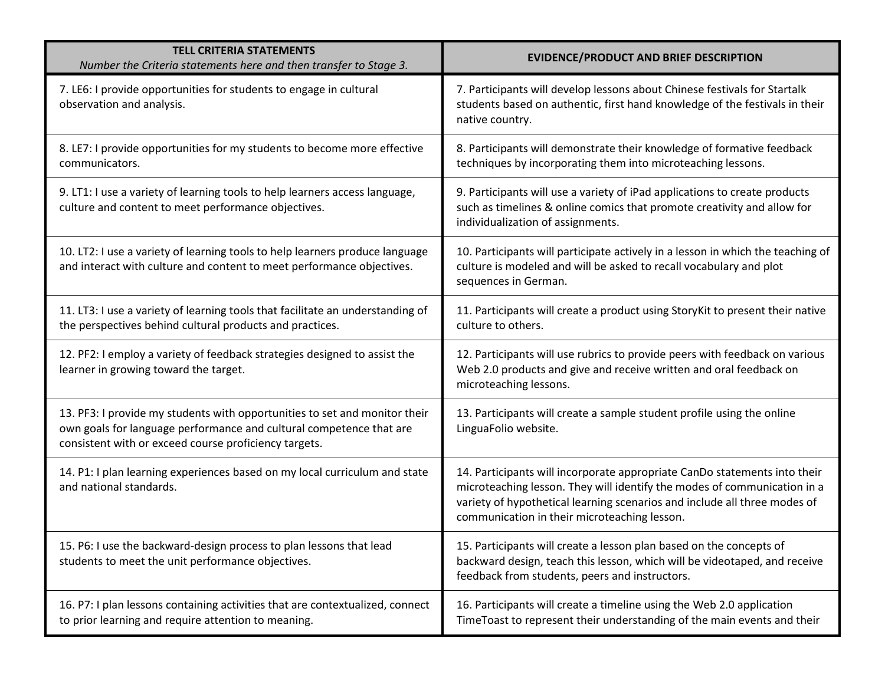| <b>TELL CRITERIA STATEMENTS</b><br>Number the Criteria statements here and then transfer to Stage 3.                                                                                                       | <b>EVIDENCE/PRODUCT AND BRIEF DESCRIPTION</b>                                                                                                                                                                                                                                      |
|------------------------------------------------------------------------------------------------------------------------------------------------------------------------------------------------------------|------------------------------------------------------------------------------------------------------------------------------------------------------------------------------------------------------------------------------------------------------------------------------------|
| 7. LE6: I provide opportunities for students to engage in cultural<br>observation and analysis.                                                                                                            | 7. Participants will develop lessons about Chinese festivals for Startalk<br>students based on authentic, first hand knowledge of the festivals in their<br>native country.                                                                                                        |
| 8. LE7: I provide opportunities for my students to become more effective<br>communicators.                                                                                                                 | 8. Participants will demonstrate their knowledge of formative feedback<br>techniques by incorporating them into microteaching lessons.                                                                                                                                             |
| 9. LT1: I use a variety of learning tools to help learners access language,<br>culture and content to meet performance objectives.                                                                         | 9. Participants will use a variety of iPad applications to create products<br>such as timelines & online comics that promote creativity and allow for<br>individualization of assignments.                                                                                         |
| 10. LT2: I use a variety of learning tools to help learners produce language<br>and interact with culture and content to meet performance objectives.                                                      | 10. Participants will participate actively in a lesson in which the teaching of<br>culture is modeled and will be asked to recall vocabulary and plot<br>sequences in German.                                                                                                      |
| 11. LT3: I use a variety of learning tools that facilitate an understanding of<br>the perspectives behind cultural products and practices.                                                                 | 11. Participants will create a product using StoryKit to present their native<br>culture to others.                                                                                                                                                                                |
| 12. PF2: I employ a variety of feedback strategies designed to assist the<br>learner in growing toward the target.                                                                                         | 12. Participants will use rubrics to provide peers with feedback on various<br>Web 2.0 products and give and receive written and oral feedback on<br>microteaching lessons.                                                                                                        |
| 13. PF3: I provide my students with opportunities to set and monitor their<br>own goals for language performance and cultural competence that are<br>consistent with or exceed course proficiency targets. | 13. Participants will create a sample student profile using the online<br>LinguaFolio website.                                                                                                                                                                                     |
| 14. P1: I plan learning experiences based on my local curriculum and state<br>and national standards.                                                                                                      | 14. Participants will incorporate appropriate CanDo statements into their<br>microteaching lesson. They will identify the modes of communication in a<br>variety of hypothetical learning scenarios and include all three modes of<br>communication in their microteaching lesson. |
| 15. P6: I use the backward-design process to plan lessons that lead<br>students to meet the unit performance objectives.                                                                                   | 15. Participants will create a lesson plan based on the concepts of<br>backward design, teach this lesson, which will be videotaped, and receive<br>feedback from students, peers and instructors.                                                                                 |
| 16. P7: I plan lessons containing activities that are contextualized, connect<br>to prior learning and require attention to meaning.                                                                       | 16. Participants will create a timeline using the Web 2.0 application<br>TimeToast to represent their understanding of the main events and their                                                                                                                                   |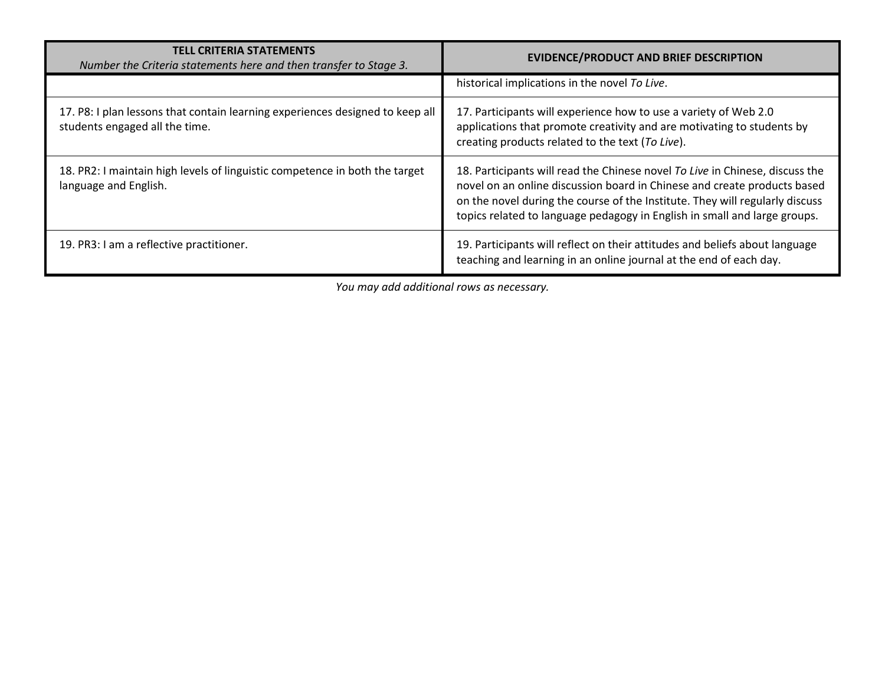| <b>TELL CRITERIA STATEMENTS</b><br>Number the Criteria statements here and then transfer to Stage 3.            | <b>EVIDENCE/PRODUCT AND BRIEF DESCRIPTION</b>                                                                                                                                                                                                                                                                         |
|-----------------------------------------------------------------------------------------------------------------|-----------------------------------------------------------------------------------------------------------------------------------------------------------------------------------------------------------------------------------------------------------------------------------------------------------------------|
|                                                                                                                 | historical implications in the novel To Live.                                                                                                                                                                                                                                                                         |
| 17. P8: I plan lessons that contain learning experiences designed to keep all<br>students engaged all the time. | 17. Participants will experience how to use a variety of Web 2.0<br>applications that promote creativity and are motivating to students by<br>creating products related to the text (To Live).                                                                                                                        |
| 18. PR2: I maintain high levels of linguistic competence in both the target<br>language and English.            | 18. Participants will read the Chinese novel To Live in Chinese, discuss the<br>novel on an online discussion board in Chinese and create products based<br>on the novel during the course of the Institute. They will regularly discuss<br>topics related to language pedagogy in English in small and large groups. |
| 19. PR3: I am a reflective practitioner.                                                                        | 19. Participants will reflect on their attitudes and beliefs about language<br>teaching and learning in an online journal at the end of each day.                                                                                                                                                                     |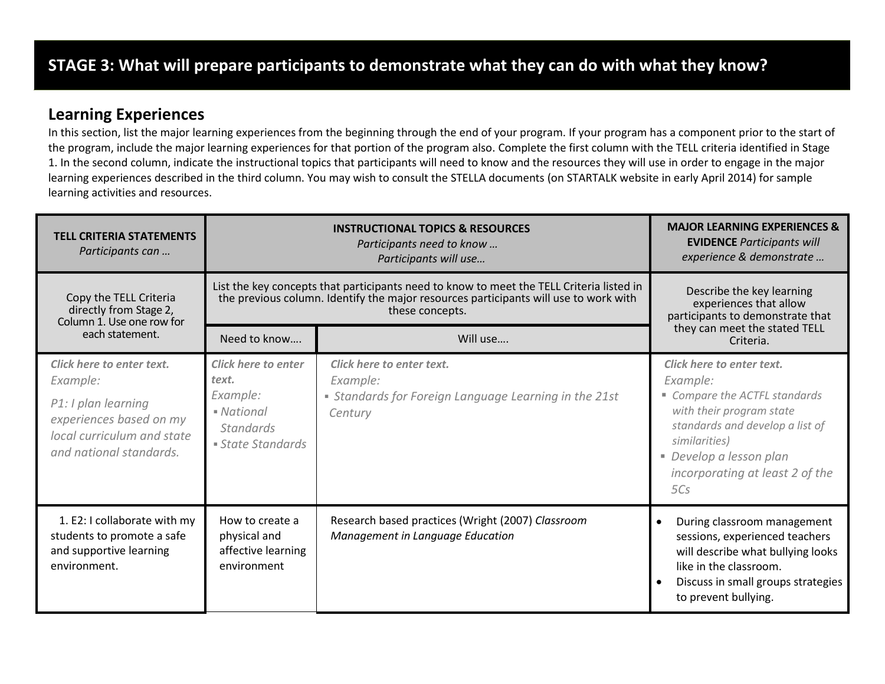### **Learning Experiences**

In this section, list the major learning experiences from the beginning through the end of your program. If your program has a component prior to the start of the program, include the major learning experiences for that portion of the program also. Complete the first column with the TELL criteria identified in Stage 1. In the second column, indicate the instructional topics that participants will need to know and the resources they will use in order to engage in the major learning experiences described in the third column. You may wish to consult the STELLA documents (on STARTALK website in early April 2014) for sample learning activities and resources.

| <b>TELL CRITERIA STATEMENTS</b><br>Participants can                                                                                              |                                                                                                                                                                                                     | <b>MAJOR LEARNING EXPERIENCES &amp;</b><br><b>EVIDENCE Participants will</b><br>experience & demonstrate  |                                                                                                                                                                                                                             |  |
|--------------------------------------------------------------------------------------------------------------------------------------------------|-----------------------------------------------------------------------------------------------------------------------------------------------------------------------------------------------------|-----------------------------------------------------------------------------------------------------------|-----------------------------------------------------------------------------------------------------------------------------------------------------------------------------------------------------------------------------|--|
| Copy the TELL Criteria<br>directly from Stage 2,<br>Column 1. Use one row for                                                                    | List the key concepts that participants need to know to meet the TELL Criteria listed in<br>the previous column. Identify the major resources participants will use to work with<br>these concepts. |                                                                                                           | Describe the key learning<br>experiences that allow<br>participants to demonstrate that                                                                                                                                     |  |
| each statement.                                                                                                                                  | Need to know                                                                                                                                                                                        | Will use                                                                                                  | they can meet the stated TELL<br>Criteria.                                                                                                                                                                                  |  |
| Click here to enter text.<br>Example:<br>P1: I plan learning<br>experiences based on my<br>local curriculum and state<br>and national standards. | <b>Click here to enter</b><br>text.<br>Example:<br>• National<br><b>Standards</b><br>• State Standards                                                                                              | Click here to enter text.<br>Example:<br>• Standards for Foreign Language Learning in the 21st<br>Century | Click here to enter text.<br>Example:<br>" Compare the ACTFL standards<br>with their program state<br>standards and develop a list of<br>similarities)<br>• Develop a lesson plan<br>incorporating at least 2 of the<br>5Cs |  |
| 1. E2: I collaborate with my<br>students to promote a safe<br>and supportive learning<br>environment.                                            | How to create a<br>physical and<br>affective learning<br>environment                                                                                                                                | Research based practices (Wright (2007) Classroom<br>Management in Language Education                     | During classroom management<br>sessions, experienced teachers<br>will describe what bullying looks<br>like in the classroom.<br>Discuss in small groups strategies<br>to prevent bullying.                                  |  |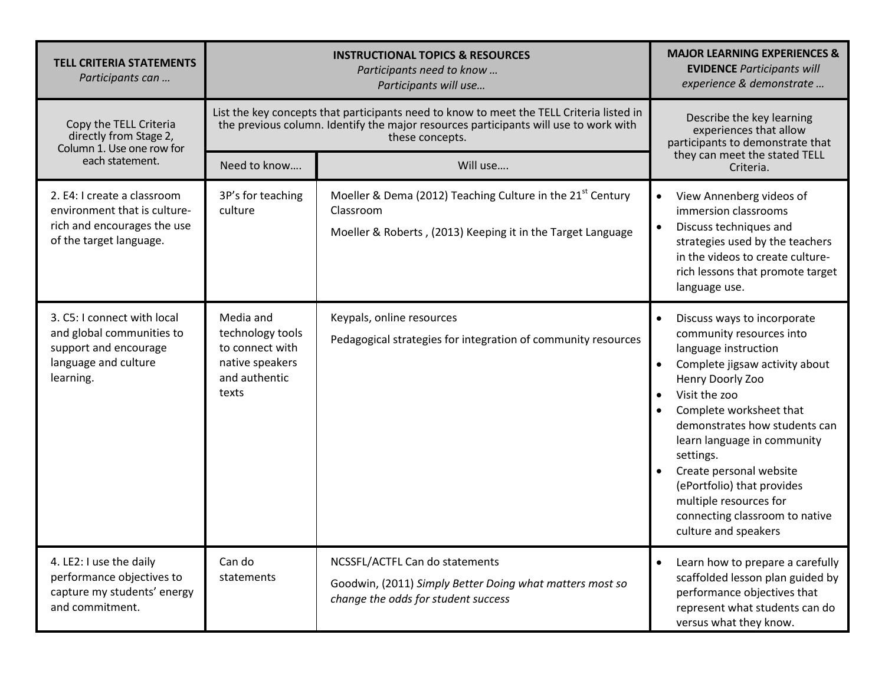| <b>TELL CRITERIA STATEMENTS</b><br>Participants can                                                                    |                                                                                               | <b>MAJOR LEARNING EXPERIENCES &amp;</b><br><b>EVIDENCE Participants will</b><br>experience & demonstrate                                                                                            |                                                                                                                                                                                                                                                                                                                                                                                                             |  |
|------------------------------------------------------------------------------------------------------------------------|-----------------------------------------------------------------------------------------------|-----------------------------------------------------------------------------------------------------------------------------------------------------------------------------------------------------|-------------------------------------------------------------------------------------------------------------------------------------------------------------------------------------------------------------------------------------------------------------------------------------------------------------------------------------------------------------------------------------------------------------|--|
| Copy the TELL Criteria<br>directly from Stage 2,<br>Column 1. Use one row for                                          |                                                                                               | List the key concepts that participants need to know to meet the TELL Criteria listed in<br>the previous column. Identify the major resources participants will use to work with<br>these concepts. | Describe the key learning<br>experiences that allow<br>participants to demonstrate that<br>they can meet the stated TELL<br>Criteria.                                                                                                                                                                                                                                                                       |  |
| each statement.                                                                                                        | Need to know                                                                                  | Will use                                                                                                                                                                                            |                                                                                                                                                                                                                                                                                                                                                                                                             |  |
| 2. E4: I create a classroom<br>environment that is culture-<br>rich and encourages the use<br>of the target language.  | 3P's for teaching<br>culture                                                                  | Moeller & Dema (2012) Teaching Culture in the 21 <sup>st</sup> Century<br>Classroom<br>Moeller & Roberts, (2013) Keeping it in the Target Language                                                  | View Annenberg videos of<br>$\bullet$<br>immersion classrooms<br>Discuss techniques and<br>strategies used by the teachers<br>in the videos to create culture-<br>rich lessons that promote target<br>language use.                                                                                                                                                                                         |  |
| 3. C5: I connect with local<br>and global communities to<br>support and encourage<br>language and culture<br>learning. | Media and<br>technology tools<br>to connect with<br>native speakers<br>and authentic<br>texts | Keypals, online resources<br>Pedagogical strategies for integration of community resources                                                                                                          | Discuss ways to incorporate<br>community resources into<br>language instruction<br>Complete jigsaw activity about<br>Henry Doorly Zoo<br>Visit the zoo<br>Complete worksheet that<br>demonstrates how students can<br>learn language in community<br>settings.<br>Create personal website<br>(ePortfolio) that provides<br>multiple resources for<br>connecting classroom to native<br>culture and speakers |  |
| 4. LE2: I use the daily<br>performance objectives to<br>capture my students' energy<br>and commitment.                 | Can do<br>statements                                                                          | NCSSFL/ACTFL Can do statements<br>Goodwin, (2011) Simply Better Doing what matters most so<br>change the odds for student success                                                                   | Learn how to prepare a carefully<br>scaffolded lesson plan guided by<br>performance objectives that<br>represent what students can do<br>versus what they know.                                                                                                                                                                                                                                             |  |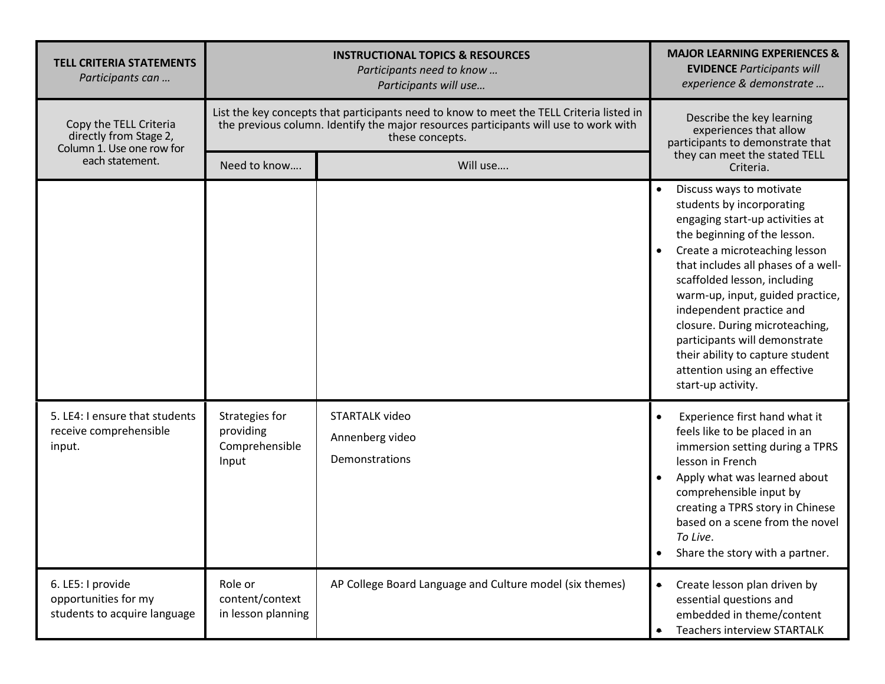| <b>TELL CRITERIA STATEMENTS</b><br>Participants can                           |                                                        | <b>MAJOR LEARNING EXPERIENCES &amp;</b><br><b>EVIDENCE Participants will</b><br>experience & demonstrate                                                                                            |                                                                                                                                                                                                                                                                                                                                                                                                                                                                            |  |
|-------------------------------------------------------------------------------|--------------------------------------------------------|-----------------------------------------------------------------------------------------------------------------------------------------------------------------------------------------------------|----------------------------------------------------------------------------------------------------------------------------------------------------------------------------------------------------------------------------------------------------------------------------------------------------------------------------------------------------------------------------------------------------------------------------------------------------------------------------|--|
| Copy the TELL Criteria<br>directly from Stage 2,<br>Column 1. Use one row for |                                                        | List the key concepts that participants need to know to meet the TELL Criteria listed in<br>the previous column. Identify the major resources participants will use to work with<br>these concepts. | Describe the key learning<br>experiences that allow<br>participants to demonstrate that<br>they can meet the stated TELL                                                                                                                                                                                                                                                                                                                                                   |  |
| each statement.                                                               | Need to know                                           | Will use                                                                                                                                                                                            | Criteria.                                                                                                                                                                                                                                                                                                                                                                                                                                                                  |  |
|                                                                               |                                                        |                                                                                                                                                                                                     | Discuss ways to motivate<br>$\bullet$<br>students by incorporating<br>engaging start-up activities at<br>the beginning of the lesson.<br>Create a microteaching lesson<br>that includes all phases of a well-<br>scaffolded lesson, including<br>warm-up, input, guided practice,<br>independent practice and<br>closure. During microteaching,<br>participants will demonstrate<br>their ability to capture student<br>attention using an effective<br>start-up activity. |  |
| 5. LE4: I ensure that students<br>receive comprehensible<br>input.            | Strategies for<br>providing<br>Comprehensible<br>Input | STARTALK video<br>Annenberg video<br>Demonstrations                                                                                                                                                 | Experience first hand what it<br>feels like to be placed in an<br>immersion setting during a TPRS<br>lesson in French<br>Apply what was learned about<br>comprehensible input by<br>creating a TPRS story in Chinese<br>based on a scene from the novel<br>To Live.<br>Share the story with a partner.<br>$\bullet$                                                                                                                                                        |  |
| 6. LE5: I provide<br>opportunities for my<br>students to acquire language     | Role or<br>content/context<br>in lesson planning       | AP College Board Language and Culture model (six themes)                                                                                                                                            | Create lesson plan driven by<br>$\bullet$<br>essential questions and<br>embedded in theme/content<br><b>Teachers interview STARTALK</b>                                                                                                                                                                                                                                                                                                                                    |  |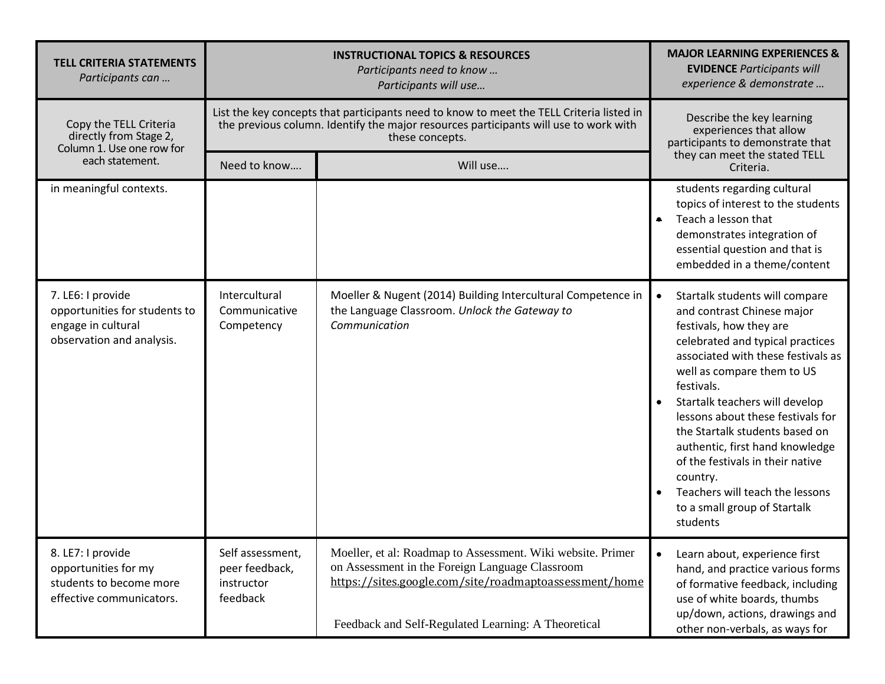| <b>TELL CRITERIA STATEMENTS</b><br>Participants can                                                   |                                                              | <b>MAJOR LEARNING EXPERIENCES &amp;</b><br><b>EVIDENCE Participants will</b><br>experience & demonstrate                                                                                                                        |                                                                                                                                                                                                                                                                                                                                                                                                                                                                                                       |  |
|-------------------------------------------------------------------------------------------------------|--------------------------------------------------------------|---------------------------------------------------------------------------------------------------------------------------------------------------------------------------------------------------------------------------------|-------------------------------------------------------------------------------------------------------------------------------------------------------------------------------------------------------------------------------------------------------------------------------------------------------------------------------------------------------------------------------------------------------------------------------------------------------------------------------------------------------|--|
| Copy the TELL Criteria<br>directly from Stage 2,<br>Column 1. Use one row for                         |                                                              | List the key concepts that participants need to know to meet the TELL Criteria listed in<br>the previous column. Identify the major resources participants will use to work with<br>these concepts.                             | Describe the key learning<br>experiences that allow<br>participants to demonstrate that                                                                                                                                                                                                                                                                                                                                                                                                               |  |
| each statement.                                                                                       | Need to know                                                 | Will use                                                                                                                                                                                                                        | they can meet the stated TELL<br>Criteria.                                                                                                                                                                                                                                                                                                                                                                                                                                                            |  |
| in meaningful contexts.                                                                               |                                                              |                                                                                                                                                                                                                                 | students regarding cultural<br>topics of interest to the students<br>Teach a lesson that<br>demonstrates integration of<br>essential question and that is<br>embedded in a theme/content                                                                                                                                                                                                                                                                                                              |  |
| 7. LE6: I provide<br>opportunities for students to<br>engage in cultural<br>observation and analysis. | Intercultural<br>Communicative<br>Competency                 | Moeller & Nugent (2014) Building Intercultural Competence in<br>the Language Classroom. Unlock the Gateway to<br>Communication                                                                                                  | Startalk students will compare<br>$\bullet$<br>and contrast Chinese major<br>festivals, how they are<br>celebrated and typical practices<br>associated with these festivals as<br>well as compare them to US<br>festivals.<br>Startalk teachers will develop<br>lessons about these festivals for<br>the Startalk students based on<br>authentic, first hand knowledge<br>of the festivals in their native<br>country.<br>Teachers will teach the lessons<br>to a small group of Startalk<br>students |  |
| 8. LE7: I provide<br>opportunities for my<br>students to become more<br>effective communicators.      | Self assessment,<br>peer feedback,<br>instructor<br>feedback | Moeller, et al: Roadmap to Assessment. Wiki website. Primer<br>on Assessment in the Foreign Language Classroom<br>https://sites.google.com/site/roadmaptoassessment/home<br>Feedback and Self-Regulated Learning: A Theoretical | Learn about, experience first<br>$\bullet$<br>hand, and practice various forms<br>of formative feedback, including<br>use of white boards, thumbs<br>up/down, actions, drawings and<br>other non-verbals, as ways for                                                                                                                                                                                                                                                                                 |  |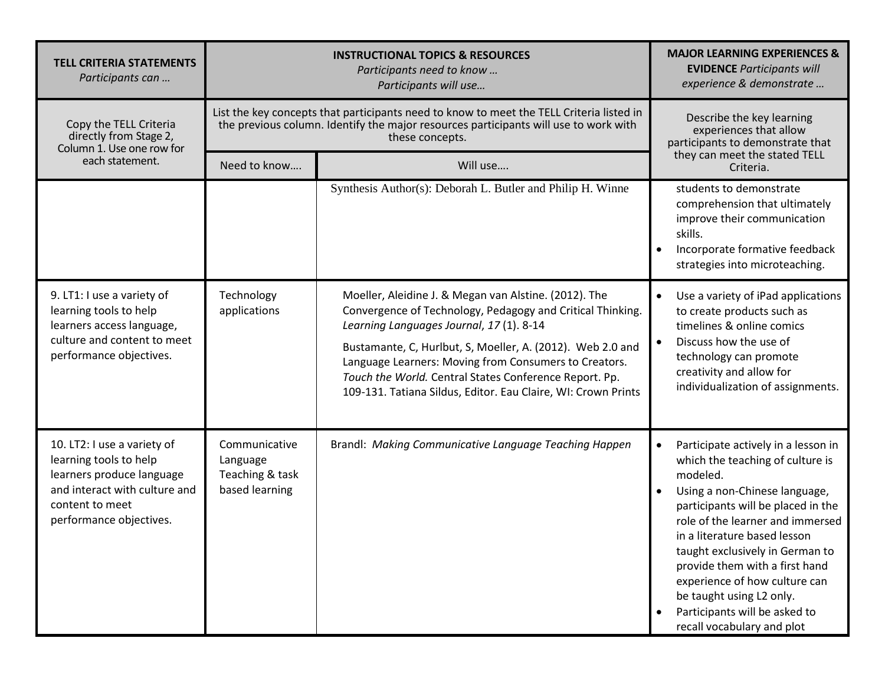| <b>TELL CRITERIA STATEMENTS</b><br>Participants can                                                                                                               |                                                                | <b>MAJOR LEARNING EXPERIENCES &amp;</b><br><b>EVIDENCE Participants will</b><br>experience & demonstrate                                                                                                                                                                                                                                                                                                         |                                                                                                                                                                                                                                                                                                                                                                                                                                 |  |
|-------------------------------------------------------------------------------------------------------------------------------------------------------------------|----------------------------------------------------------------|------------------------------------------------------------------------------------------------------------------------------------------------------------------------------------------------------------------------------------------------------------------------------------------------------------------------------------------------------------------------------------------------------------------|---------------------------------------------------------------------------------------------------------------------------------------------------------------------------------------------------------------------------------------------------------------------------------------------------------------------------------------------------------------------------------------------------------------------------------|--|
| Copy the TELL Criteria<br>directly from Stage 2,<br>Column 1. Use one row for                                                                                     |                                                                | List the key concepts that participants need to know to meet the TELL Criteria listed in<br>the previous column. Identify the major resources participants will use to work with<br>these concepts.                                                                                                                                                                                                              | Describe the key learning<br>experiences that allow<br>participants to demonstrate that<br>they can meet the stated TELL                                                                                                                                                                                                                                                                                                        |  |
| each statement.                                                                                                                                                   | Need to know                                                   | Will use                                                                                                                                                                                                                                                                                                                                                                                                         | Criteria.                                                                                                                                                                                                                                                                                                                                                                                                                       |  |
|                                                                                                                                                                   |                                                                | Synthesis Author(s): Deborah L. Butler and Philip H. Winne                                                                                                                                                                                                                                                                                                                                                       | students to demonstrate<br>comprehension that ultimately<br>improve their communication<br>skills.<br>Incorporate formative feedback<br>strategies into microteaching.                                                                                                                                                                                                                                                          |  |
| 9. LT1: I use a variety of<br>learning tools to help<br>learners access language,<br>culture and content to meet<br>performance objectives.                       | Technology<br>applications                                     | Moeller, Aleidine J. & Megan van Alstine. (2012). The<br>Convergence of Technology, Pedagogy and Critical Thinking.<br>Learning Languages Journal, 17(1). 8-14<br>Bustamante, C, Hurlbut, S, Moeller, A. (2012). Web 2.0 and<br>Language Learners: Moving from Consumers to Creators.<br>Touch the World. Central States Conference Report. Pp.<br>109-131. Tatiana Sildus, Editor. Eau Claire, WI: Crown Prints | Use a variety of iPad applications<br>to create products such as<br>timelines & online comics<br>Discuss how the use of<br>technology can promote<br>creativity and allow for<br>individualization of assignments.                                                                                                                                                                                                              |  |
| 10. LT2: I use a variety of<br>learning tools to help<br>learners produce language<br>and interact with culture and<br>content to meet<br>performance objectives. | Communicative<br>Language<br>Teaching & task<br>based learning | Brandl: Making Communicative Language Teaching Happen                                                                                                                                                                                                                                                                                                                                                            | Participate actively in a lesson in<br>which the teaching of culture is<br>modeled.<br>Using a non-Chinese language,<br>participants will be placed in the<br>role of the learner and immersed<br>in a literature based lesson<br>taught exclusively in German to<br>provide them with a first hand<br>experience of how culture can<br>be taught using L2 only.<br>Participants will be asked to<br>recall vocabulary and plot |  |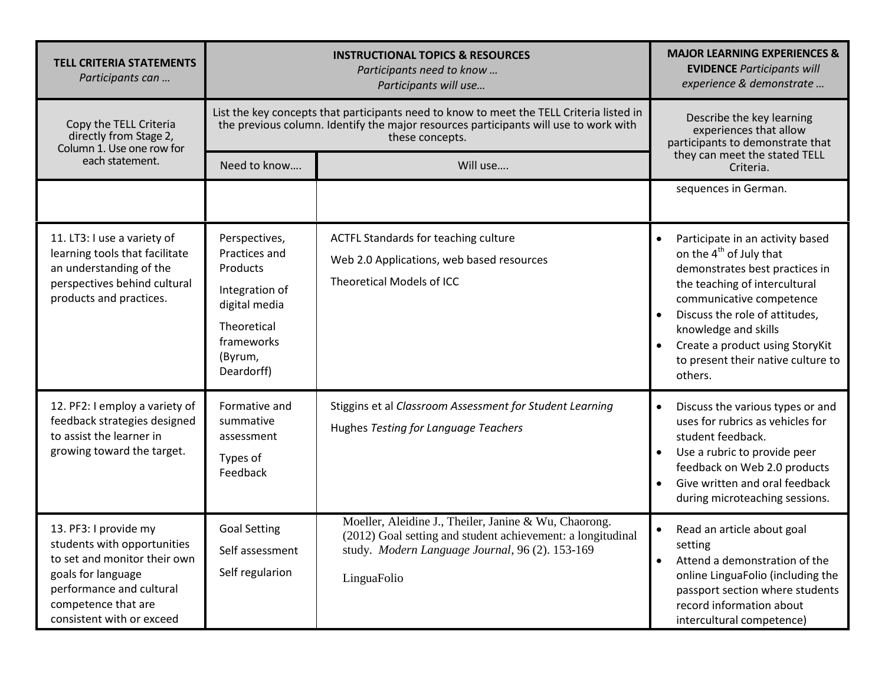| <b>TELL CRITERIA STATEMENTS</b><br>Participants can                                                                                                                                        |                                                                                                                                     | <b>MAJOR LEARNING EXPERIENCES &amp;</b><br><b>EVIDENCE Participants will</b><br>experience & demonstrate                                                                                            |                                                                                                                                                                                                                                                                                                                      |  |
|--------------------------------------------------------------------------------------------------------------------------------------------------------------------------------------------|-------------------------------------------------------------------------------------------------------------------------------------|-----------------------------------------------------------------------------------------------------------------------------------------------------------------------------------------------------|----------------------------------------------------------------------------------------------------------------------------------------------------------------------------------------------------------------------------------------------------------------------------------------------------------------------|--|
| Copy the TELL Criteria<br>directly from Stage 2,<br>Column 1. Use one row for                                                                                                              |                                                                                                                                     | List the key concepts that participants need to know to meet the TELL Criteria listed in<br>the previous column. Identify the major resources participants will use to work with<br>these concepts. | Describe the key learning<br>experiences that allow<br>participants to demonstrate that                                                                                                                                                                                                                              |  |
| each statement.                                                                                                                                                                            | Need to know                                                                                                                        | Will use                                                                                                                                                                                            | they can meet the stated TELL<br>Criteria.                                                                                                                                                                                                                                                                           |  |
|                                                                                                                                                                                            |                                                                                                                                     |                                                                                                                                                                                                     | sequences in German.                                                                                                                                                                                                                                                                                                 |  |
| 11. LT3: I use a variety of<br>learning tools that facilitate<br>an understanding of the<br>perspectives behind cultural<br>products and practices.                                        | Perspectives,<br>Practices and<br>Products<br>Integration of<br>digital media<br>Theoretical<br>frameworks<br>(Byrum,<br>Deardorff) | ACTFL Standards for teaching culture<br>Web 2.0 Applications, web based resources<br>Theoretical Models of ICC                                                                                      | Participate in an activity based<br>on the 4 <sup>th</sup> of July that<br>demonstrates best practices in<br>the teaching of intercultural<br>communicative competence<br>Discuss the role of attitudes,<br>knowledge and skills<br>Create a product using StoryKit<br>to present their native culture to<br>others. |  |
| 12. PF2: I employ a variety of<br>feedback strategies designed<br>to assist the learner in<br>growing toward the target.                                                                   | Formative and<br>summative<br>assessment<br>Types of<br>Feedback                                                                    | Stiggins et al Classroom Assessment for Student Learning<br>Hughes Testing for Language Teachers                                                                                                    | Discuss the various types or and<br>uses for rubrics as vehicles for<br>student feedback.<br>Use a rubric to provide peer<br>feedback on Web 2.0 products<br>Give written and oral feedback<br>during microteaching sessions.                                                                                        |  |
| 13. PF3: I provide my<br>students with opportunities<br>to set and monitor their own<br>goals for language<br>performance and cultural<br>competence that are<br>consistent with or exceed | <b>Goal Setting</b><br>Self assessment<br>Self regularion                                                                           | Moeller, Aleidine J., Theiler, Janine & Wu, Chaorong.<br>(2012) Goal setting and student achievement: a longitudinal<br>study. Modern Language Journal, 96 (2). 153-169<br>LinguaFolio              | Read an article about goal<br>setting<br>Attend a demonstration of the<br>$\bullet$<br>online LinguaFolio (including the<br>passport section where students<br>record information about<br>intercultural competence)                                                                                                 |  |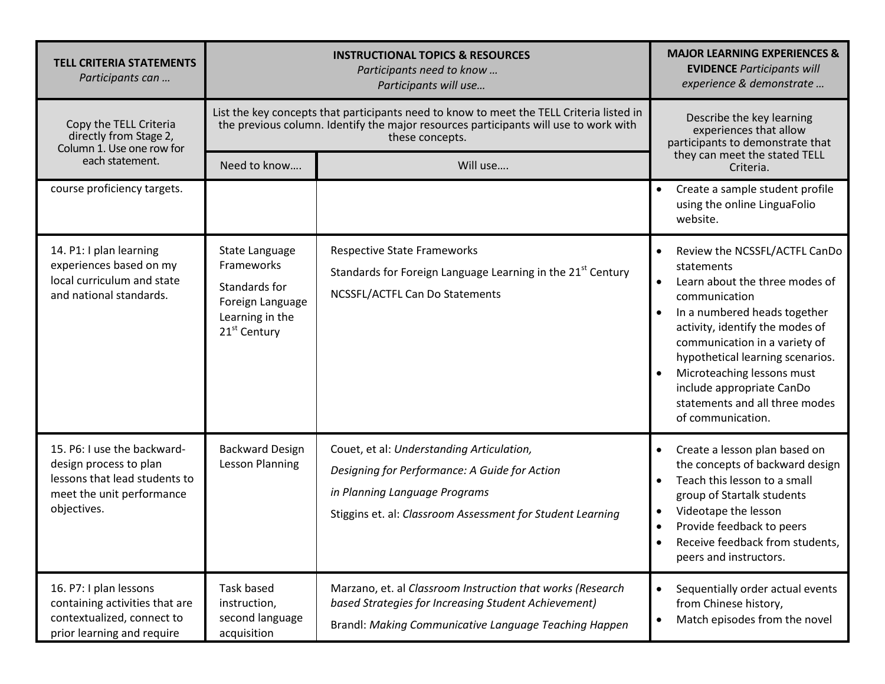| <b>TELL CRITERIA STATEMENTS</b><br>Participants can                                                                                | <b>INSTRUCTIONAL TOPICS &amp; RESOURCES</b><br>Participants need to know<br>Participants will use                                                                                                   |                                                                                                                                                                                           | <b>MAJOR LEARNING EXPERIENCES &amp;</b><br><b>EVIDENCE Participants will</b><br>experience & demonstrate                                                                                                                                                                                                                                                 |
|------------------------------------------------------------------------------------------------------------------------------------|-----------------------------------------------------------------------------------------------------------------------------------------------------------------------------------------------------|-------------------------------------------------------------------------------------------------------------------------------------------------------------------------------------------|----------------------------------------------------------------------------------------------------------------------------------------------------------------------------------------------------------------------------------------------------------------------------------------------------------------------------------------------------------|
| Copy the TELL Criteria<br>directly from Stage 2,<br>Column 1. Use one row for<br>each statement.                                   | List the key concepts that participants need to know to meet the TELL Criteria listed in<br>the previous column. Identify the major resources participants will use to work with<br>these concepts. |                                                                                                                                                                                           | Describe the key learning<br>experiences that allow<br>participants to demonstrate that                                                                                                                                                                                                                                                                  |
|                                                                                                                                    | Need to know                                                                                                                                                                                        | Will use                                                                                                                                                                                  | they can meet the stated TELL<br>Criteria.                                                                                                                                                                                                                                                                                                               |
| course proficiency targets.                                                                                                        |                                                                                                                                                                                                     |                                                                                                                                                                                           | Create a sample student profile<br>using the online LinguaFolio<br>website.                                                                                                                                                                                                                                                                              |
| 14. P1: I plan learning<br>experiences based on my<br>local curriculum and state<br>and national standards.                        | State Language<br>Frameworks<br>Standards for<br>Foreign Language<br>Learning in the<br>21 <sup>st</sup> Century                                                                                    | <b>Respective State Frameworks</b><br>Standards for Foreign Language Learning in the 21 <sup>st</sup> Century<br>NCSSFL/ACTFL Can Do Statements                                           | Review the NCSSFL/ACTFL CanDo<br>statements<br>Learn about the three modes of<br>communication<br>In a numbered heads together<br>activity, identify the modes of<br>communication in a variety of<br>hypothetical learning scenarios.<br>Microteaching lessons must<br>include appropriate CanDo<br>statements and all three modes<br>of communication. |
| 15. P6: I use the backward-<br>design process to plan<br>lessons that lead students to<br>meet the unit performance<br>objectives. | <b>Backward Design</b><br><b>Lesson Planning</b>                                                                                                                                                    | Couet, et al: Understanding Articulation,<br>Designing for Performance: A Guide for Action<br>in Planning Language Programs<br>Stiggins et. al: Classroom Assessment for Student Learning | Create a lesson plan based on<br>the concepts of backward design<br>Teach this lesson to a small<br>group of Startalk students<br>Videotape the lesson<br>$\bullet$<br>Provide feedback to peers<br>Receive feedback from students,<br>peers and instructors.                                                                                            |
| 16. P7: I plan lessons<br>containing activities that are<br>contextualized, connect to<br>prior learning and require               | Task based<br>instruction,<br>second language<br>acquisition                                                                                                                                        | Marzano, et. al Classroom Instruction that works (Research<br>based Strategies for Increasing Student Achievement)<br>Brandl: Making Communicative Language Teaching Happen               | Sequentially order actual events<br>from Chinese history,<br>Match episodes from the novel                                                                                                                                                                                                                                                               |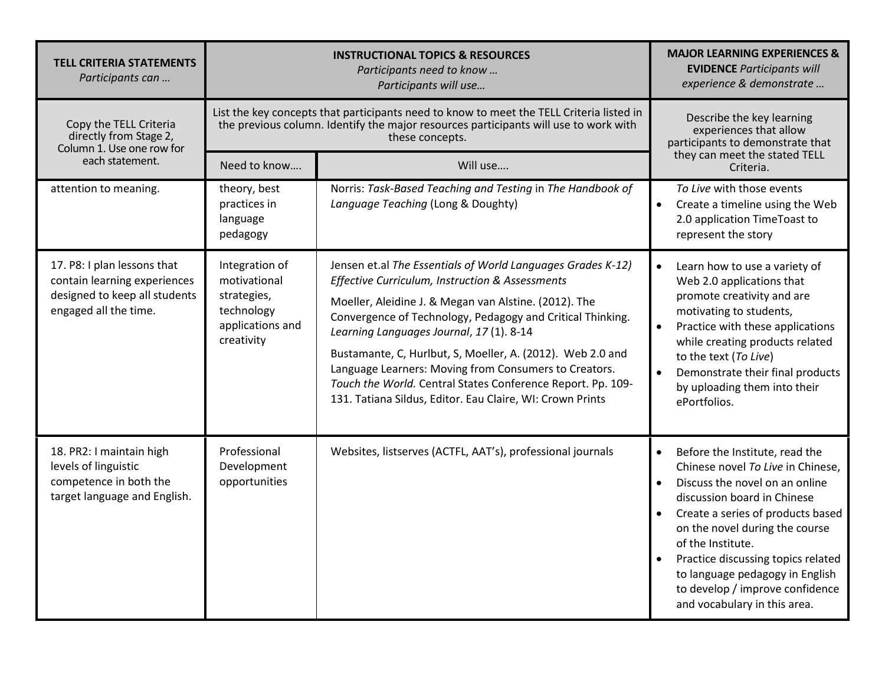| <b>TELL CRITERIA STATEMENTS</b><br>Participants can                                                                   | <b>INSTRUCTIONAL TOPICS &amp; RESOURCES</b><br>Participants need to know<br>Participants will use                                                                                                   |                                                                                                                                                                                                                                                                                                                                                                                                                                                                                                                                      | <b>MAJOR LEARNING EXPERIENCES &amp;</b><br><b>EVIDENCE Participants will</b><br>experience & demonstrate                                                                                                                                                                                                                                                                                  |
|-----------------------------------------------------------------------------------------------------------------------|-----------------------------------------------------------------------------------------------------------------------------------------------------------------------------------------------------|--------------------------------------------------------------------------------------------------------------------------------------------------------------------------------------------------------------------------------------------------------------------------------------------------------------------------------------------------------------------------------------------------------------------------------------------------------------------------------------------------------------------------------------|-------------------------------------------------------------------------------------------------------------------------------------------------------------------------------------------------------------------------------------------------------------------------------------------------------------------------------------------------------------------------------------------|
| Copy the TELL Criteria<br>directly from Stage 2,<br>Column 1. Use one row for<br>each statement.                      | List the key concepts that participants need to know to meet the TELL Criteria listed in<br>the previous column. Identify the major resources participants will use to work with<br>these concepts. |                                                                                                                                                                                                                                                                                                                                                                                                                                                                                                                                      | Describe the key learning<br>experiences that allow<br>participants to demonstrate that                                                                                                                                                                                                                                                                                                   |
|                                                                                                                       | Need to know                                                                                                                                                                                        | Will use                                                                                                                                                                                                                                                                                                                                                                                                                                                                                                                             | they can meet the stated TELL<br>Criteria.                                                                                                                                                                                                                                                                                                                                                |
| attention to meaning.                                                                                                 | theory, best<br>practices in<br>language<br>pedagogy                                                                                                                                                | Norris: Task-Based Teaching and Testing in The Handbook of<br>Language Teaching (Long & Doughty)                                                                                                                                                                                                                                                                                                                                                                                                                                     | To Live with those events<br>Create a timeline using the Web<br>2.0 application TimeToast to<br>represent the story                                                                                                                                                                                                                                                                       |
| 17. P8: I plan lessons that<br>contain learning experiences<br>designed to keep all students<br>engaged all the time. | Integration of<br>motivational<br>strategies,<br>technology<br>applications and<br>creativity                                                                                                       | Jensen et.al The Essentials of World Languages Grades K-12)<br>Effective Curriculum, Instruction & Assessments<br>Moeller, Aleidine J. & Megan van Alstine. (2012). The<br>Convergence of Technology, Pedagogy and Critical Thinking.<br>Learning Languages Journal, 17 (1). 8-14<br>Bustamante, C, Hurlbut, S, Moeller, A. (2012). Web 2.0 and<br>Language Learners: Moving from Consumers to Creators.<br>Touch the World. Central States Conference Report. Pp. 109-<br>131. Tatiana Sildus, Editor. Eau Claire, WI: Crown Prints | Learn how to use a variety of<br>$\bullet$<br>Web 2.0 applications that<br>promote creativity and are<br>motivating to students,<br>Practice with these applications<br>while creating products related<br>to the text (To Live)<br>Demonstrate their final products<br>by uploading them into their<br>ePortfolios.                                                                      |
| 18. PR2: I maintain high<br>levels of linguistic<br>competence in both the<br>target language and English.            | Professional<br>Development<br>opportunities                                                                                                                                                        | Websites, listserves (ACTFL, AAT's), professional journals                                                                                                                                                                                                                                                                                                                                                                                                                                                                           | Before the Institute, read the<br>$\bullet$<br>Chinese novel To Live in Chinese,<br>Discuss the novel on an online<br>discussion board in Chinese<br>Create a series of products based<br>on the novel during the course<br>of the Institute.<br>Practice discussing topics related<br>to language pedagogy in English<br>to develop / improve confidence<br>and vocabulary in this area. |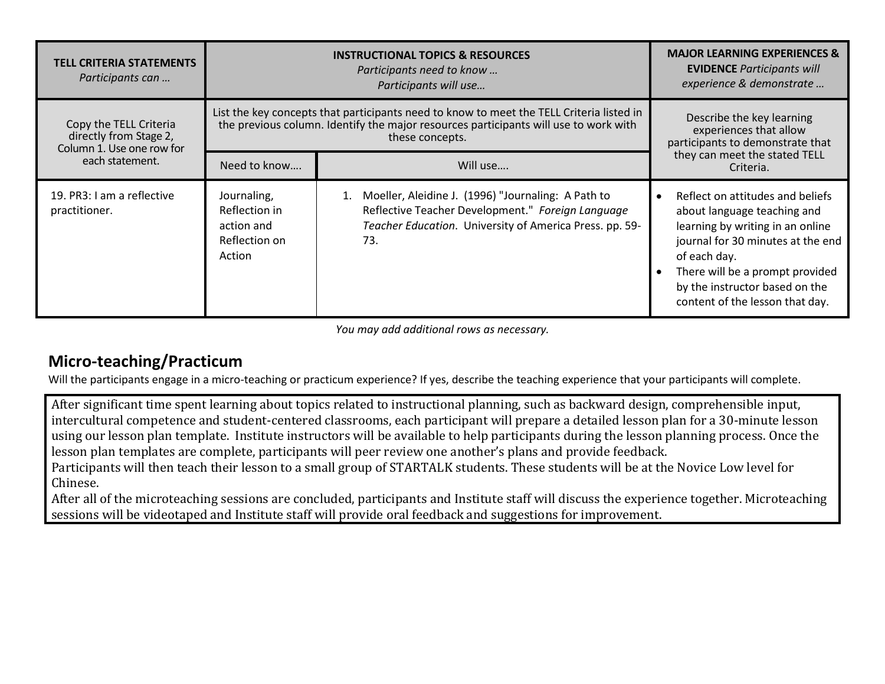| TELL CRITERIA STATEMENTS<br>Participants can                                  | <b>INSTRUCTIONAL TOPICS &amp; RESOURCES</b><br>Participants need to know<br>Participants will use                                                                                                   |                                                                                                                                                                                 | <b>MAJOR LEARNING EXPERIENCES &amp;</b><br><b>EVIDENCE Participants will</b><br>experience & demonstrate                                                                                                                                                         |
|-------------------------------------------------------------------------------|-----------------------------------------------------------------------------------------------------------------------------------------------------------------------------------------------------|---------------------------------------------------------------------------------------------------------------------------------------------------------------------------------|------------------------------------------------------------------------------------------------------------------------------------------------------------------------------------------------------------------------------------------------------------------|
| Copy the TELL Criteria<br>directly from Stage 2,<br>Column 1. Use one row for | List the key concepts that participants need to know to meet the TELL Criteria listed in<br>the previous column. Identify the major resources participants will use to work with<br>these concepts. |                                                                                                                                                                                 | Describe the key learning<br>experiences that allow<br>participants to demonstrate that                                                                                                                                                                          |
| each statement.                                                               | Need to know                                                                                                                                                                                        | Will use                                                                                                                                                                        | they can meet the stated TELL<br>Criteria.                                                                                                                                                                                                                       |
| 19. PR3: I am a reflective<br>practitioner.                                   | Journaling,<br>Reflection in<br>action and<br>Reflection on<br>Action                                                                                                                               | Moeller, Aleidine J. (1996) "Journaling: A Path to<br>1.<br>Reflective Teacher Development." Foreign Language<br>Teacher Education. University of America Press. pp. 59-<br>73. | Reflect on attitudes and beliefs<br>about language teaching and<br>learning by writing in an online<br>journal for 30 minutes at the end<br>of each day.<br>There will be a prompt provided<br>by the instructor based on the<br>content of the lesson that day. |

# **Micro-teaching/Practicum**

Will the participants engage in a micro-teaching or practicum experience? If yes, describe the teaching experience that your participants will complete.

After significant time spent learning about topics related to instructional planning, such as backward design, comprehensible input, intercultural competence and student-centered classrooms, each participant will prepare a detailed lesson plan for a 30-minute lesson using our lesson plan template. Institute instructors will be available to help participants during the lesson planning process. Once the lesson plan templates are complete, participants will peer review one another's plans and provide feedback.

Participants will then teach their lesson to a small group of STARTALK students. These students will be at the Novice Low level for Chinese.

After all of the microteaching sessions are concluded, participants and Institute staff will discuss the experience together. Microteaching sessions will be videotaped and Institute staff will provide oral feedback and suggestions for improvement.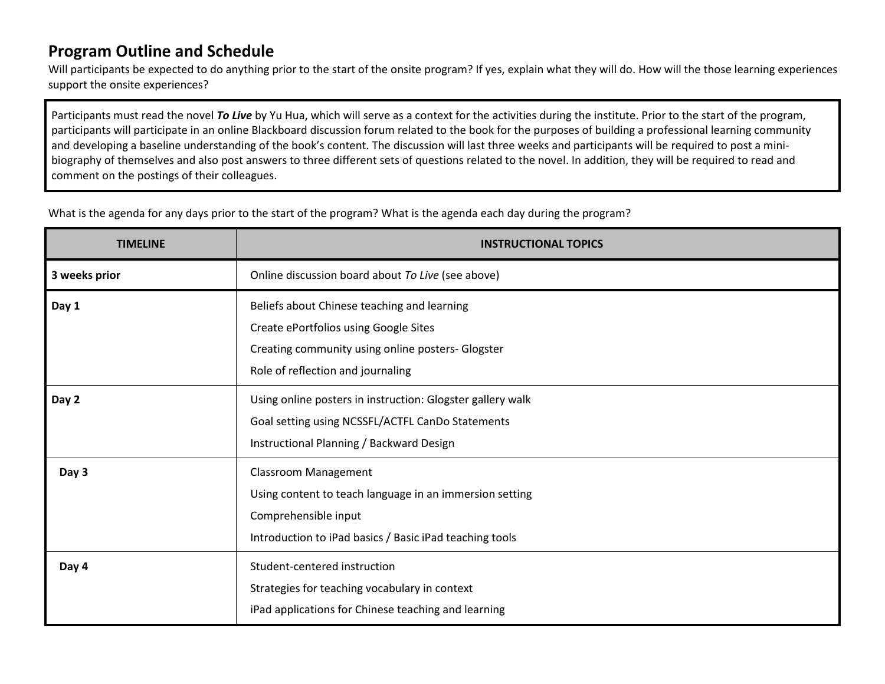### **Program Outline and Schedule**

Will participants be expected to do anything prior to the start of the onsite program? If yes, explain what they will do. How will the those learning experiences support the onsite experiences?

Participants must read the novel *To Live* by Yu Hua, which will serve as a context for the activities during the institute. Prior to the start of the program, participants will participate in an online Blackboard discussion forum related to the book for the purposes of building a professional learning community and developing a baseline understanding of the book's content. The discussion will last three weeks and participants will be required to post a minibiography of themselves and also post answers to three different sets of questions related to the novel. In addition, they will be required to read and comment on the postings of their colleagues.

| <b>TIMELINE</b> | <b>INSTRUCTIONAL TOPICS</b>                                                                                                                                                    |
|-----------------|--------------------------------------------------------------------------------------------------------------------------------------------------------------------------------|
| 3 weeks prior   | Online discussion board about To Live (see above)                                                                                                                              |
| Day 1           | Beliefs about Chinese teaching and learning<br>Create ePortfolios using Google Sites<br>Creating community using online posters- Glogster<br>Role of reflection and journaling |
| Day 2           | Using online posters in instruction: Glogster gallery walk<br>Goal setting using NCSSFL/ACTFL CanDo Statements<br>Instructional Planning / Backward Design                     |
| Day 3           | <b>Classroom Management</b><br>Using content to teach language in an immersion setting<br>Comprehensible input<br>Introduction to iPad basics / Basic iPad teaching tools      |
| Day 4           | Student-centered instruction<br>Strategies for teaching vocabulary in context<br>iPad applications for Chinese teaching and learning                                           |

What is the agenda for any days prior to the start of the program? What is the agenda each day during the program?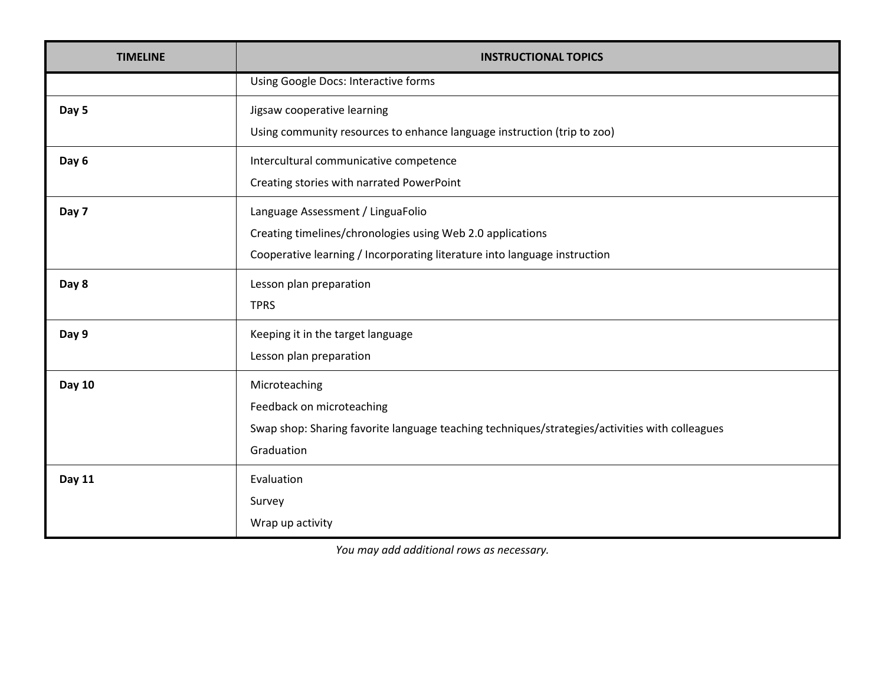| <b>TIMELINE</b> | <b>INSTRUCTIONAL TOPICS</b>                                                                    |  |
|-----------------|------------------------------------------------------------------------------------------------|--|
|                 | Using Google Docs: Interactive forms                                                           |  |
| Day 5           | Jigsaw cooperative learning                                                                    |  |
|                 | Using community resources to enhance language instruction (trip to zoo)                        |  |
| Day 6           | Intercultural communicative competence                                                         |  |
|                 | Creating stories with narrated PowerPoint                                                      |  |
| Day 7           | Language Assessment / LinguaFolio                                                              |  |
|                 | Creating timelines/chronologies using Web 2.0 applications                                     |  |
|                 | Cooperative learning / Incorporating literature into language instruction                      |  |
| Day 8           | Lesson plan preparation                                                                        |  |
|                 | <b>TPRS</b>                                                                                    |  |
| Day 9           | Keeping it in the target language                                                              |  |
|                 | Lesson plan preparation                                                                        |  |
| <b>Day 10</b>   | Microteaching                                                                                  |  |
|                 | Feedback on microteaching                                                                      |  |
|                 | Swap shop: Sharing favorite language teaching techniques/strategies/activities with colleagues |  |
|                 | Graduation                                                                                     |  |
| Day 11          | Evaluation                                                                                     |  |
|                 | Survey                                                                                         |  |
|                 | Wrap up activity                                                                               |  |